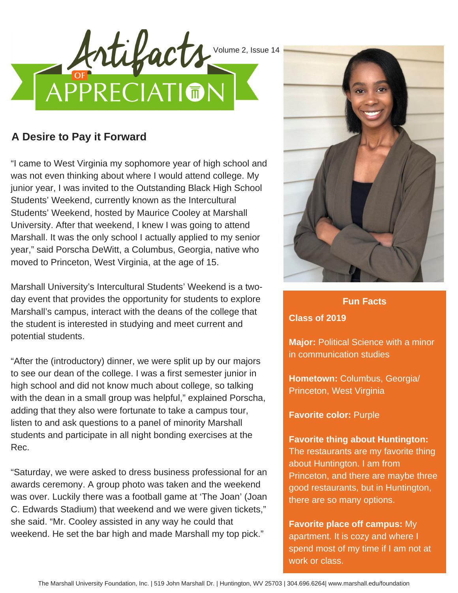

## **A Desire to Pay it Forward**

"I came to West Virginia my sophomore year of high school and was not even thinking about where I would attend college. My junior year, I was invited to the Outstanding Black High School Students' Weekend, currently known as the Intercultural Students' Weekend, hosted by Maurice Cooley at Marshall University. After that weekend, I knew I was going to attend Marshall. It was the only school I actually applied to my senior year," said Porscha DeWitt, a Columbus, Georgia, native who moved to Princeton, West Virginia, at the age of 15.

Marshall University's Intercultural Students' Weekend is a twoday event that provides the opportunity for students to explore Marshall's campus, interact with the deans of the college that the student is interested in studying and meet current and potential students.

"After the (introductory) dinner, we were split up by our majors to see our dean of the college. I was a first semester junior in high school and did not know much about college, so talking with the dean in a small group was helpful," explained Porscha, adding that they also were fortunate to take a campus tour, listen to and ask questions to a panel of minority Marshall students and participate in all night bonding exercises at the Rec.

"Saturday, we were asked to dress business professional for an awards ceremony. A group photo was taken and the weekend was over. Luckily there was a football game at 'The Joan' (Joan C. Edwards Stadium) that weekend and we were given tickets," she said. "Mr. Cooley assisted in any way he could that weekend. He set the bar high and made Marshall my top pick."



**Fun Facts Fun Facts Class of 2019**

**Major:** Political Science with a minor in communication studies

**Hometown:** Columbus, Georgia/ Princeton, West Virginia

**Favorite color:** Purple

**Favorite thing about Huntington:** The restaurants are my favorite thing

about Huntington. I am from Princeton, and there are maybe three good restaurants, but in Huntington, there are so many options.

**Favorite place off campus:** My apartment. It is cozy and where I spend most of my time if I am not at work or class.